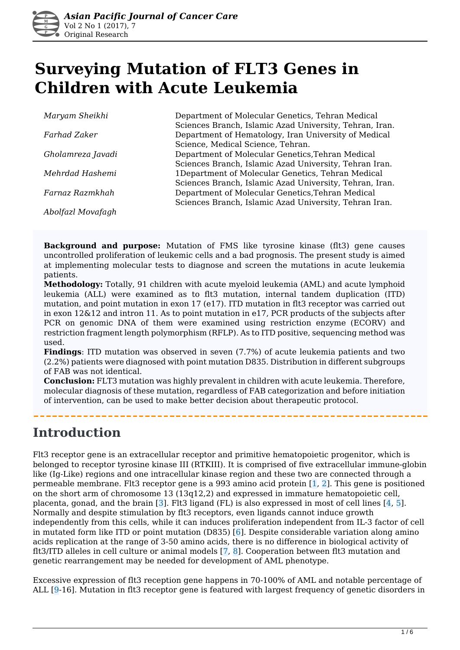

# **Surveying Mutation of FLT3 Genes in Children with Acute Leukemia**

| Maryam Sheikhi    | Department of Molecular Genetics, Tehran Medical       |
|-------------------|--------------------------------------------------------|
|                   | Sciences Branch, Islamic Azad University, Tehran, Iran |
| Farhad Zaker      | Department of Hematology, Iran University of Medical   |
|                   | Science, Medical Science, Tehran.                      |
| Gholamreza Javadi | Department of Molecular Genetics, Tehran Medical       |
|                   | Sciences Branch, Islamic Azad University, Tehran Iran. |
| Mehrdad Hashemi   | 1Department of Molecular Genetics, Tehran Medical      |
|                   | Sciences Branch, Islamic Azad University, Tehran, Iran |
| Farnaz Razmkhah   | Department of Molecular Genetics, Tehran Medical       |
|                   | Sciences Branch, Islamic Azad University, Tehran Iran. |
| Abolfazl Movafagh |                                                        |

**Background and purpose:** Mutation of FMS like tyrosine kinase (flt3) gene causes uncontrolled proliferation of leukemic cells and a bad prognosis. The present study is aimed at implementing molecular tests to diagnose and screen the mutations in acute leukemia patients.

**Methodology:** Totally, 91 children with acute myeloid leukemia (AML) and acute lymphoid leukemia (ALL) were examined as to flt3 mutation, internal tandem duplication (ITD) mutation, and point mutation in exon 17 (e17). ITD mutation in flt3 receptor was carried out in exon 12&12 and intron 11. As to point mutation in e17, PCR products of the subjects after PCR on genomic DNA of them were examined using restriction enzyme (ECORV) and restriction fragment length polymorphism (RFLP). As to ITD positive, sequencing method was used.

**Findings**: ITD mutation was observed in seven (7.7%) of acute leukemia patients and two (2.2%) patients were diagnosed with point mutation D835. Distribution in different subgroups of FAB was not identical.

**Conclusion:** FLT3 mutation was highly prevalent in children with acute leukemia. Therefore, molecular diagnosis of these mutation, regardless of FAB categorization and before initiation of intervention, can be used to make better decision about therapeutic protocol.

### **Introduction**

Flt3 receptor gene is an extracellular receptor and primitive hematopoietic progenitor, which is belonged to receptor tyrosine kinase III (RTKIII). It is comprised of five extracellular immune-globin like (Ig-Like) regions and one intracellular kinase region and these two are connected through a permeable membrane. Flt3 receptor gene is a 993 amino acid protein [1, 2]. This gene is positioned on the short arm of chromosome 13 (13q12,2) and expressed in immature hematopoietic cell, placenta, gonad, and the brain  $\lceil 3 \rceil$ . Fit3 ligand (FL) is also expressed in most of cell lines  $\lceil 4, 5 \rceil$ . Normally and despite stimulation by flt3 receptors, even ligands cannot induce growth independently from this cells, while it can induces proliferation independent from IL-3 factor of cell in mutated form like ITD or point mutation (D835)  $\overline{6}$ ]. Despite considerable variation along amino acids replication at the range of 3-50 amino acids, there is no difference in biological activity of flt3/ITD alleles in cell culture or animal models  $[7, 8]$ . Cooperation between flt3 mutation and genetic rearrangement may be needed for development of AML phenotype.

Excessive expression of flt3 reception gene happens in 70-100% of AML and notable percentage of ALL [9-16]. Mutation in flt3 receptor gene is featured with largest frequency of genetic disorders in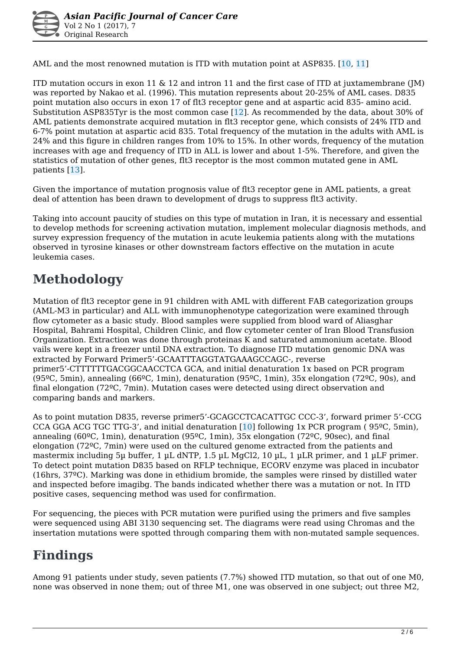AML and the most renowned mutation is ITD with mutation point at ASP835. [10, 11]

ITD mutation occurs in exon 11  $\&$  12 and intron 11 and the first case of ITD at juxtamembrane (IM) was reported by Nakao et al. (1996). This mutation represents about 20-25% of AML cases. D835 point mutation also occurs in exon 17 of flt3 receptor gene and at aspartic acid 835- amino acid. Substitution ASP835Tyr is the most common case [12]. As recommended by the data, about 30% of AML patients demonstrate acquired mutation in flt3 receptor gene, which consists of 24% ITD and 6-7% point mutation at aspartic acid 835. Total frequency of the mutation in the adults with AML is 24% and this figure in children ranges from 10% to 15%. In other words, frequency of the mutation increases with age and frequency of ITD in ALL is lower and about 1-5%. Therefore, and given the statistics of mutation of other genes, flt3 receptor is the most common mutated gene in AML patients [13].

Given the importance of mutation prognosis value of flt3 receptor gene in AML patients, a great deal of attention has been drawn to development of drugs to suppress flt3 activity.

Taking into account paucity of studies on this type of mutation in Iran, it is necessary and essential to develop methods for screening activation mutation, implement molecular diagnosis methods, and survey expression frequency of the mutation in acute leukemia patients along with the mutations observed in tyrosine kinases or other downstream factors effective on the mutation in acute leukemia cases.

## **Methodology**

Mutation of flt3 receptor gene in 91 children with AML with different FAB categorization groups (AML-M3 in particular) and ALL with immunophenotype categorization were examined through flow cytometer as a basic study. Blood samples were supplied from blood ward of Aliasghar Hospital, Bahrami Hospital, Children Clinic, and flow cytometer center of Iran Blood Transfusion Organization. Extraction was done through proteinas K and saturated ammonium acetate. Blood vails were kept in a freezer until DNA extraction. To diagnose ITD mutation genomic DNA was extracted by Forward Primer5'-GCAATTTAGGTATGAAAGCCAGC-, reverse primer5'-CTTTTTTGACGGCAACCTCA GCA, and initial denaturation 1x based on PCR program (95ºC, 5min), annealing (66ºC, 1min), denaturation (95ºC, 1min), 35x elongation (72ºC, 90s), and final elongation (72ºC, 7min). Mutation cases were detected using direct observation and comparing bands and markers.

As to point mutation D835, reverse primer5'-GCAGCCTCACATTGC CCC-3', forward primer 5'-CCG CCA GGA ACG TGC TTG-3', and initial denaturation [10] following 1x PCR program ( 95ºC, 5min), annealing (60ºC, 1min), denaturation (95ºC, 1min), 35x elongation (72ºC, 90sec), and final elongation (72ºC, 7min) were used on the cultured genome extracted from the patients and mastermix including 5µ buffer, 1 µL dNTP, 1.5 µL MgCl2, 10 µL, 1 µLR primer, and 1 µLF primer. To detect point mutation D835 based on RFLP technique, ECORV enzyme was placed in incubator (16hrs, 37ºC). Marking was done in ethidium bromide, the samples were rinsed by distilled water and inspected before imagibg. The bands indicated whether there was a mutation or not. In ITD positive cases, sequencing method was used for confirmation.

For sequencing, the pieces with PCR mutation were purified using the primers and five samples were sequenced using ABI 3130 sequencing set. The diagrams were read using Chromas and the insertation mutations were spotted through comparing them with non-mutated sample sequences.

## **Findings**

Among 91 patients under study, seven patients (7.7%) showed ITD mutation, so that out of one M0, none was observed in none them; out of three M1, one was observed in one subject; out three M2,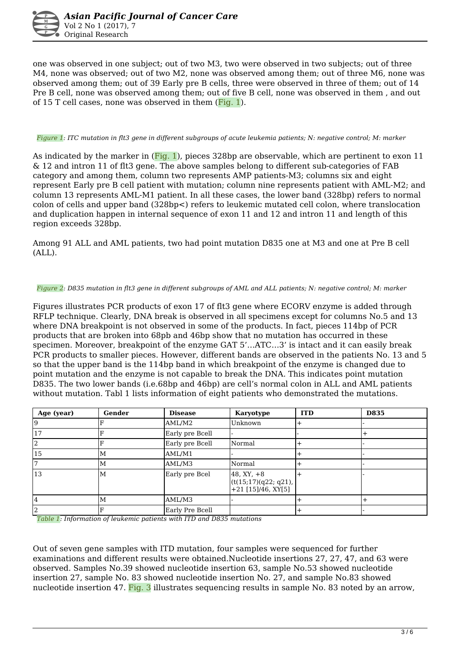

one was observed in one subject; out of two M3, two were observed in two subjects; out of three M4, none was observed; out of two M2, none was observed among them; out of three M6, none was observed among them; out of 39 Early pre B cells, three were observed in three of them; out of 14 Pre B cell, none was observed among them; out of five B cell, none was observed in them , and out of 15 T cell cases, none was observed in them  $(Fiq, 1)$ .

#### *Figure 1: ITC mutation in flt3 gene in different subgroups of acute leukemia patients; N: negative control; M: marker*

As indicated by the marker in  $(Fiq, 1)$ , pieces 328bp are observable, which are pertinent to exon 11 & 12 and intron 11 of flt3 gene. The above samples belong to different sub-categories of FAB category and among them, column two represents AMP patients-M3; columns six and eight represent Early pre B cell patient with mutation; column nine represents patient with AML-M2; and column 13 represents AML-M1 patient. In all these cases, the lower band (328bp) refers to normal colon of cells and upper band (328bp<) refers to leukemic mutated cell colon, where translocation and duplication happen in internal sequence of exon 11 and 12 and intron 11 and length of this region exceeds 328bp.

Among 91 ALL and AML patients, two had point mutation D835 one at M3 and one at Pre B cell (ALL).

#### *Figure 2: D835 mutation in flt3 gene in different subgroups of AML and ALL patients; N: negative control; M: marker*

Figures illustrates PCR products of exon 17 of flt3 gene where ECORV enzyme is added through RFLP technique. Clearly, DNA break is observed in all specimens except for columns No.5 and 13 where DNA breakpoint is not observed in some of the products. In fact, pieces 114bp of PCR products that are broken into 68pb and 46bp show that no mutation has occurred in these specimen. Moreover, breakpoint of the enzyme GAT 5'…ATC…3' is intact and it can easily break PCR products to smaller pieces. However, different bands are observed in the patients No. 13 and 5 so that the upper band is the 114bp band in which breakpoint of the enzyme is changed due to point mutation and the enzyme is not capable to break the DNA. This indicates point mutation D835. The two lower bands (i.e.68bp and 46bp) are cell's normal colon in ALL and AML patients without mutation. Tabl 1 lists information of eight patients who demonstrated the mutations.

| Age (year) | Gender | <b>Disease</b>  | <b>Karyotype</b>                                             | <b>ITD</b> | <b>D835</b> |
|------------|--------|-----------------|--------------------------------------------------------------|------------|-------------|
|            |        | AML/M2          | Unknown                                                      |            |             |
| 17         |        | Early pre Bcell |                                                              |            |             |
| '2         |        | Early pre Bcell | Normal                                                       |            |             |
| 15         | M      | AML/M1          |                                                              |            |             |
|            | M      | AML/M3          | Normal                                                       |            |             |
| 13         | M      | Early pre Bcel  | $48, XY, +8$<br>(t(15;17)(q22; q21),<br>$+21$ [15]/46, XY[5] |            |             |
|            | М      | AML/M3          |                                                              |            |             |
|            |        | Early Pre Bcell |                                                              |            |             |

 *Table 1: Information of leukemic patients with ITD and D835 mutations* 

Out of seven gene samples with ITD mutation, four samples were sequenced for further examinations and different results were obtained.Nucleotide insertions 27, 27, 47, and 63 were observed. Samples No.39 showed nucleotide insertion 63, sample No.53 showed nucleotide insertion 27, sample No. 83 showed nucleotide insertion No. 27, and sample No.83 showed nucleotide insertion 47. Fig. 3 illustrates sequencing results in sample No. 83 noted by an arrow,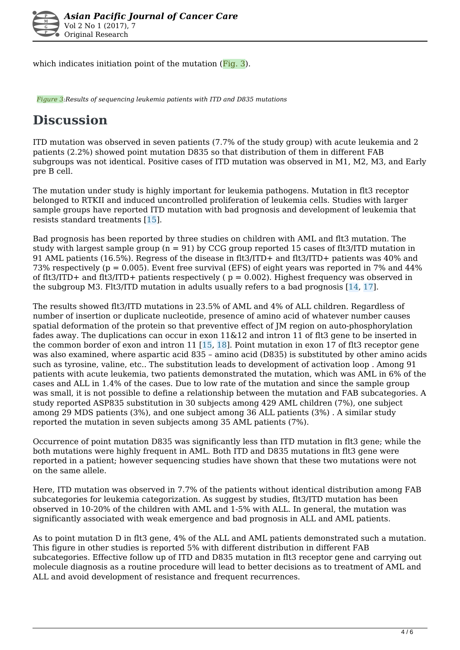

which indicates initiation point of the mutation (Fig. 3).

 *Figure 3:Results of sequencing leukemia patients with ITD and D835 mutations* 

## **Discussion**

ITD mutation was observed in seven patients (7.7% of the study group) with acute leukemia and 2 patients (2.2%) showed point mutation D835 so that distribution of them in different FAB subgroups was not identical. Positive cases of ITD mutation was observed in M1, M2, M3, and Early pre B cell.

The mutation under study is highly important for leukemia pathogens. Mutation in flt3 receptor belonged to RTKII and induced uncontrolled proliferation of leukemia cells. Studies with larger sample groups have reported ITD mutation with bad prognosis and development of leukemia that resists standard treatments [15].

Bad prognosis has been reported by three studies on children with AML and flt3 mutation. The study with largest sample group ( $n = 91$ ) by CCG group reported 15 cases of flt3/ITD mutation in 91 AML patients (16.5%). Regress of the disease in flt3/ITD+ and flt3/ITD+ patients was 40% and 73% respectively (p = 0.005). Event free survival (EFS) of eight years was reported in 7% and 44% of flt3/ITD+ and flt3/ITD+ patients respectively ( $p = 0.002$ ). Highest frequency was observed in the subgroup M3. Flt3/ITD mutation in adults usually refers to a bad prognosis  $[14, 17]$ .

The results showed flt3/ITD mutations in 23.5% of AML and 4% of ALL children. Regardless of number of insertion or duplicate nucleotide, presence of amino acid of whatever number causes spatial deformation of the protein so that preventive effect of JM region on auto-phosphorylation fades away. The duplications can occur in exon 11&12 and intron 11 of flt3 gene to be inserted in the common border of exon and intron 11 [15, 18]. Point mutation in exon 17 of flt3 receptor gene was also examined, where aspartic acid 835 – amino acid (D835) is substituted by other amino acids such as tyrosine, valine, etc.. The substitution leads to development of activation loop . Among 91 patients with acute leukemia, two patients demonstrated the mutation, which was AML in 6% of the cases and ALL in 1.4% of the cases. Due to low rate of the mutation and since the sample group was small, it is not possible to define a relationship between the mutation and FAB subcategories. A study reported ASP835 substitution in 30 subjects among 429 AML children (7%), one subject among 29 MDS patients (3%), and one subject among 36 ALL patients (3%) . A similar study reported the mutation in seven subjects among 35 AML patients (7%).

Occurrence of point mutation D835 was significantly less than ITD mutation in flt3 gene; while the both mutations were highly frequent in AML. Both ITD and D835 mutations in flt3 gene were reported in a patient; however sequencing studies have shown that these two mutations were not on the same allele.

Here, ITD mutation was observed in 7.7% of the patients without identical distribution among FAB subcategories for leukemia categorization. As suggest by studies, flt3/ITD mutation has been observed in 10-20% of the children with AML and 1-5% with ALL. In general, the mutation was significantly associated with weak emergence and bad prognosis in ALL and AML patients.

As to point mutation D in flt3 gene, 4% of the ALL and AML patients demonstrated such a mutation. This figure in other studies is reported 5% with different distribution in different FAB subcategories. Effective follow up of ITD and D835 mutation in flt3 receptor gene and carrying out molecule diagnosis as a routine procedure will lead to better decisions as to treatment of AML and ALL and avoid development of resistance and frequent recurrences.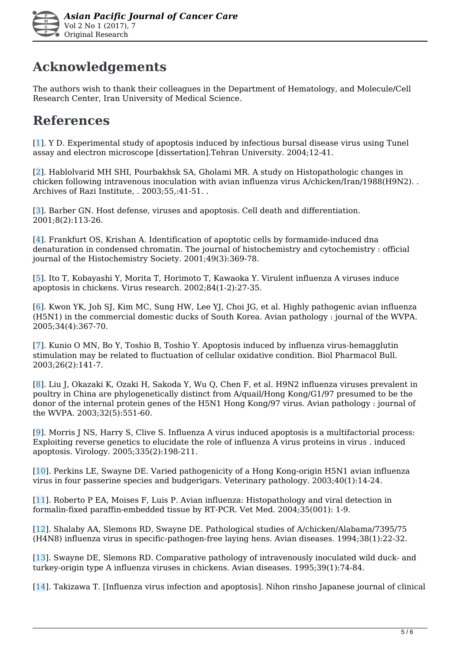

### **Acknowledgements**

The authors wish to thank their colleagues in the Department of Hematology, and Molecule/Cell Research Center, Iran University of Medical Science.

### **References**

[1]. Y D. Experimental study of apoptosis induced by infectious bursal disease virus using Tunel assay and electron microscope [dissertation].Tehran University. 2004;12-41.

[2]. Hablolvarid MH SHI, Pourbakhsk SA, Gholami MR. A study on Histopathologic changes in chicken following intravenous inoculation with avian influenza virus A/chicken/Iran/1988(H9N2). . Archives of Razi Institute, . 2003;55,:41-51. .

[3]. Barber GN. Host defense, viruses and apoptosis. Cell death and differentiation. 2001;8(2):113-26.

[4]. Frankfurt OS, Krishan A. Identification of apoptotic cells by formamide-induced dna denaturation in condensed chromatin. The journal of histochemistry and cytochemistry : official journal of the Histochemistry Society. 2001;49(3):369-78.

[5]. Ito T, Kobayashi Y, Morita T, Horimoto T, Kawaoka Y. Virulent influenza A viruses induce apoptosis in chickens. Virus research. 2002;84(1-2):27-35.

[6]. Kwon YK, Joh SJ, Kim MC, Sung HW, Lee YJ, Choi JG, et al. Highly pathogenic avian influenza (H5N1) in the commercial domestic ducks of South Korea. Avian pathology : journal of the WVPA. 2005;34(4):367-70.

[7]. Kunio O MN, Bo Y, Toshio B, Toshio Y. Apoptosis induced by influenza virus-hemagglutin stimulation may be related to fluctuation of cellular oxidative condition. Biol Pharmacol Bull. 2003;26(2):141-7.

[8]. Liu J, Okazaki K, Ozaki H, Sakoda Y, Wu Q, Chen F, et al. H9N2 influenza viruses prevalent in poultry in China are phylogenetically distinct from A/quail/Hong Kong/G1/97 presumed to be the donor of the internal protein genes of the H5N1 Hong Kong/97 virus. Avian pathology : journal of the WVPA. 2003;32(5):551-60.

[9]. Morris J NS, Harry S, Clive S. Influenza A virus induced apoptosis is a multifactorial process: Exploiting reverse genetics to elucidate the role of influenza A virus proteins in virus . induced apoptosis. Virology. 2005;335(2):198-211.

[10]. Perkins LE, Swayne DE. Varied pathogenicity of a Hong Kong-origin H5N1 avian influenza virus in four passerine species and budgerigars. Veterinary pathology. 2003;40(1):14-24.

[11]. Roberto P EA, Moises F, Luis P. Avian influenza: Histopathology and viral detection in formalin-fixed paraffin-embedded tissue by RT-PCR. Vet Med. 2004;35(001): 1-9.

[12]. Shalaby AA, Slemons RD, Swayne DE. Pathological studies of A/chicken/Alabama/7395/75 (H4N8) influenza virus in specific-pathogen-free laying hens. Avian diseases. 1994;38(1):22-32.

[13]. Swayne DE, Slemons RD. Comparative pathology of intravenously inoculated wild duck- and turkey-origin type A influenza viruses in chickens. Avian diseases. 1995;39(1):74-84.

[14]. Takizawa T. [Influenza virus infection and apoptosis]. Nihon rinsho Japanese journal of clinical